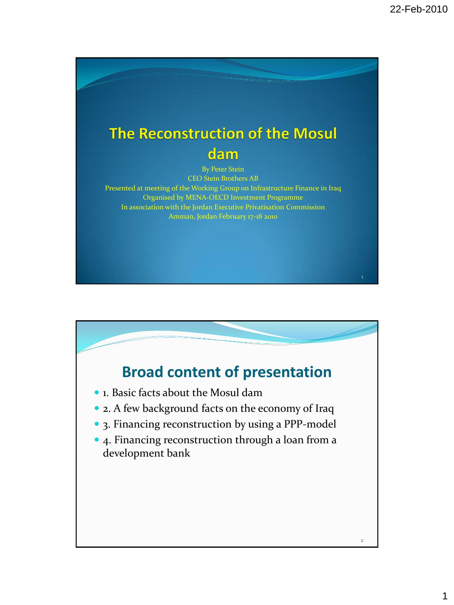1

## The Reconstruction of the Mosul dam

By Peter Stein CEO Stein Brothers AB Presented at meeting of the Working Group on Infrastructure Finance in Iraq Organised by MENA-OECD Investment Programme In association with the Jordan Executive Privatisation Commission Amman, Jordan February 17-18 2010

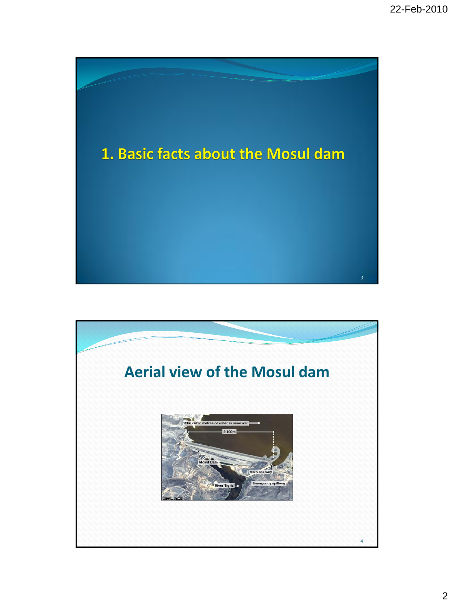

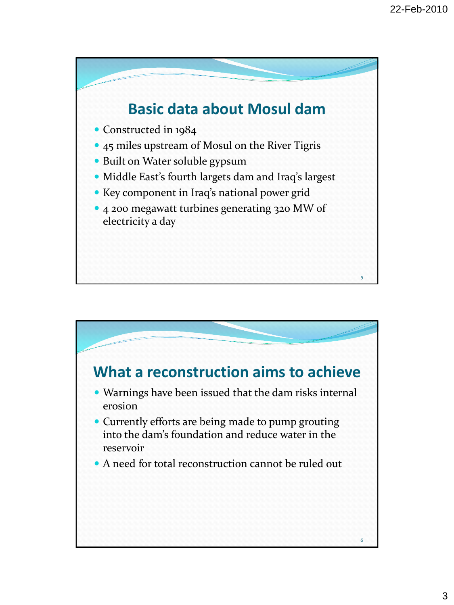

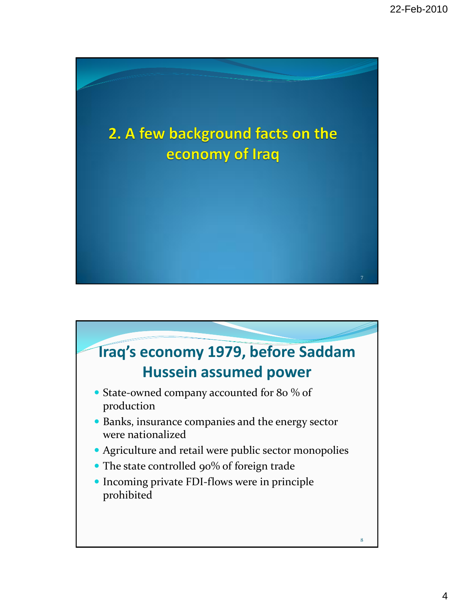

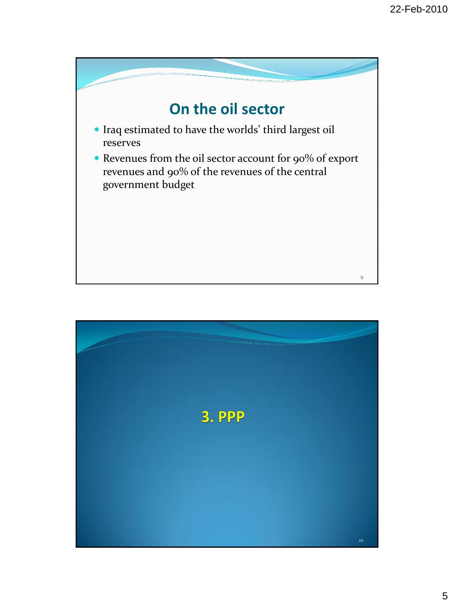

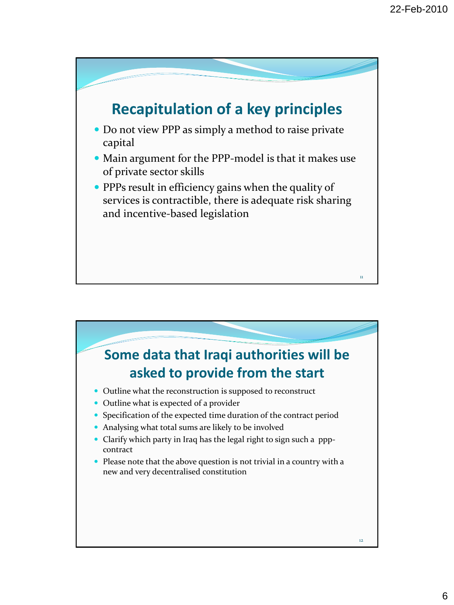

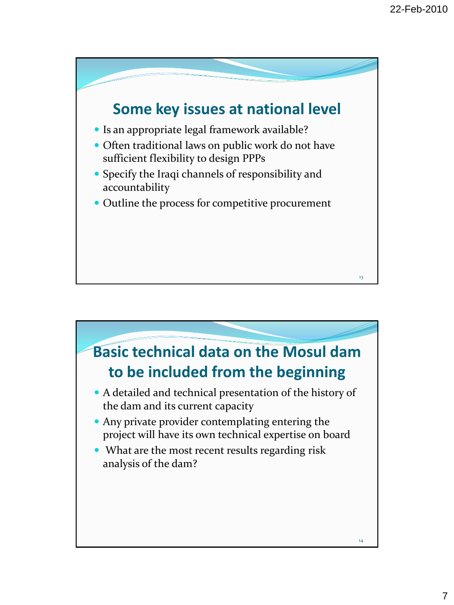

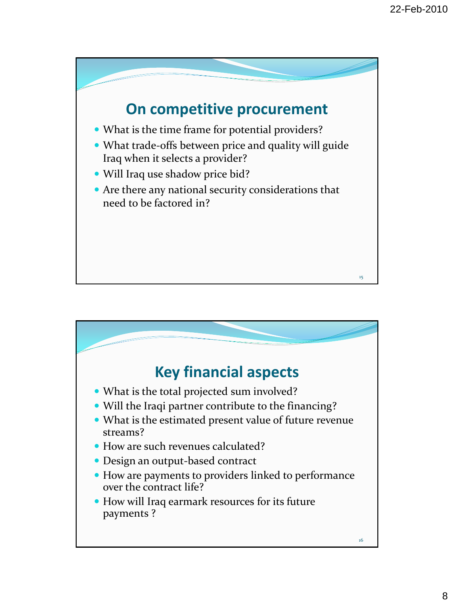

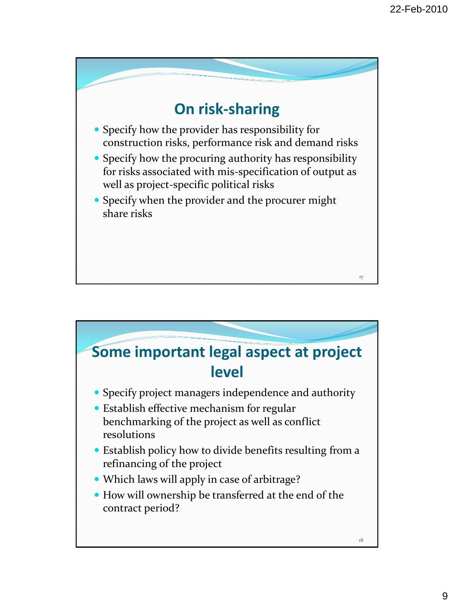

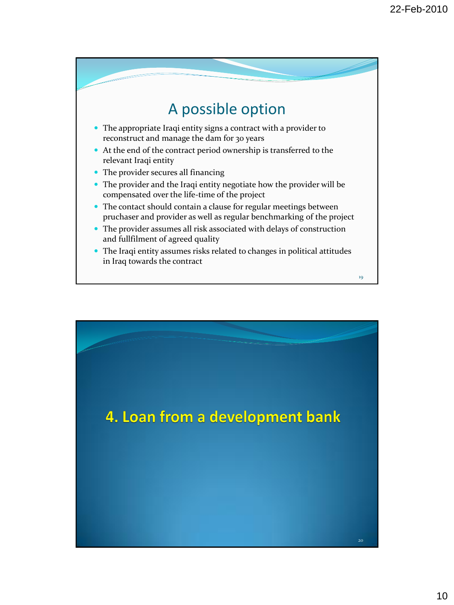

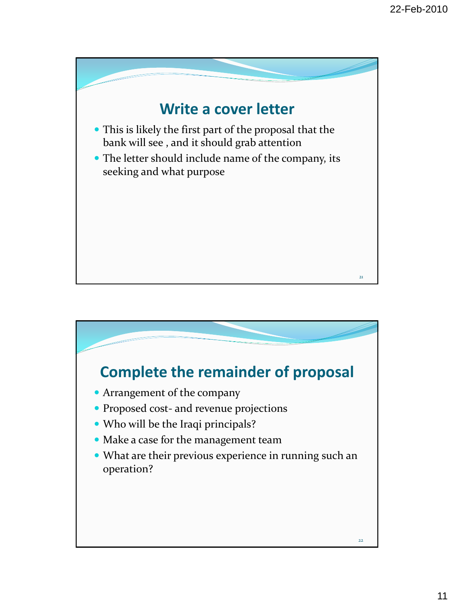